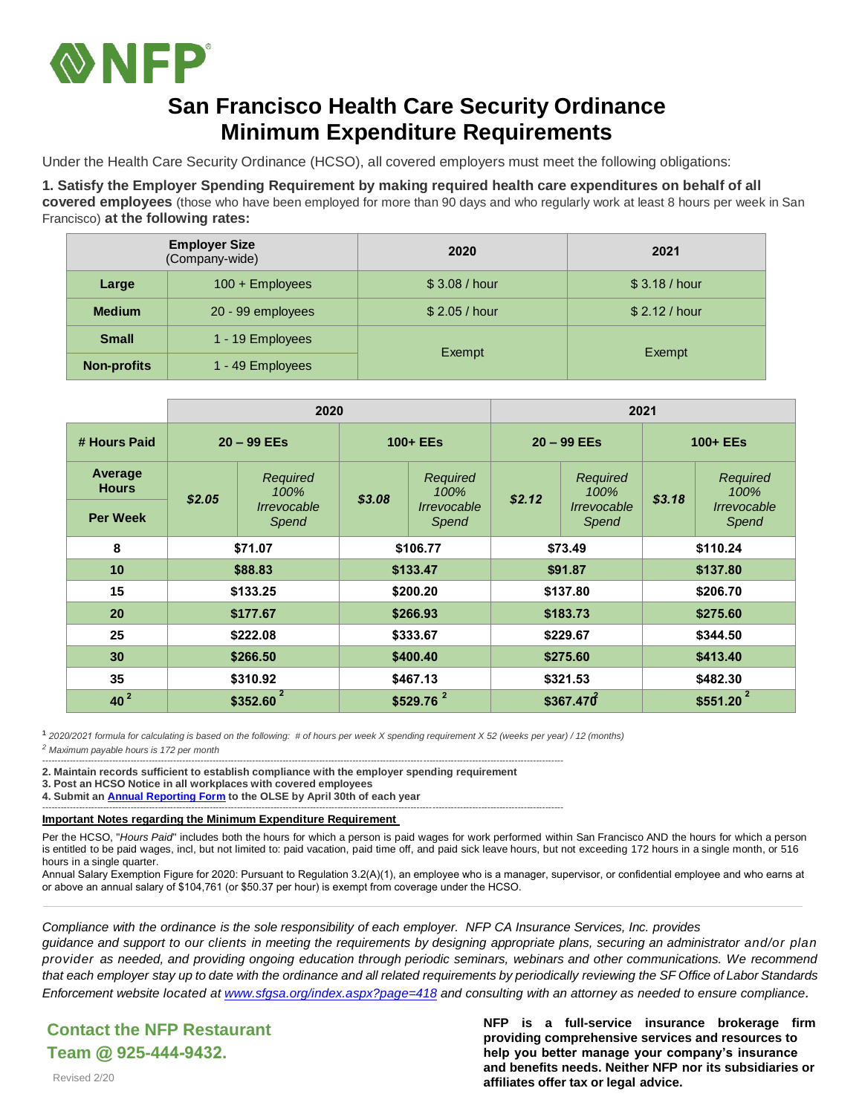

#### **San Francisco Health Care Security Ordinance Minimum Expenditure Requirements**

Under the Health Care Security Ordinance (HCSO), all covered employers must meet the following obligations:

**1. Satisfy the Employer Spending Requirement by making required health care expenditures on behalf of all covered employees** (those who have been employed for more than 90 days and who regularly work at least 8 hours per week in San Francisco) **at the following rates:**

|                    | <b>Employer Size</b><br>(Company-wide) | 2020        | 2021        |  |  |
|--------------------|----------------------------------------|-------------|-------------|--|--|
| Large              | 100 + Employees                        | \$3.08/hour | \$3.18/hour |  |  |
| <b>Medium</b>      | 20 - 99 employees                      | \$2.05/hour | \$2.12/hour |  |  |
| <b>Small</b>       | 1 - 19 Employees                       |             |             |  |  |
| <b>Non-profits</b> | 1 - 49 Employees                       | Exempt      | Exempt      |  |  |

|                         | 2020                     |                                                               |                        |                                          | 2021          |                                          |                        |                                          |
|-------------------------|--------------------------|---------------------------------------------------------------|------------------------|------------------------------------------|---------------|------------------------------------------|------------------------|------------------------------------------|
| # Hours Paid            | $20 - 99$ EEs            |                                                               | $100 + EEs$            |                                          | $20 - 99$ EEs |                                          | 100+ EEs               |                                          |
| Average<br><b>Hours</b> | \$2.05                   | Required<br>100%<br><i><u><b>Irrevocable</b></u></i><br>Spend | \$3.08                 | Required<br>100%<br>Irrevocable<br>Spend | \$2.12        | Required<br>100%<br>Irrevocable<br>Spend | \$3.18                 | Required<br>100%<br>Irrevocable<br>Spend |
| <b>Per Week</b>         |                          |                                                               |                        |                                          |               |                                          |                        |                                          |
| 8                       | \$71.07                  |                                                               | \$106.77               |                                          | \$73.49       |                                          | \$110.24               |                                          |
| 10                      | \$88.83                  |                                                               | \$133.47               |                                          | \$91.87       |                                          | \$137.80               |                                          |
| 15                      | \$133.25                 |                                                               | \$200.20               |                                          | \$137.80      |                                          | \$206.70               |                                          |
| 20                      | \$177.67                 |                                                               | \$266.93               |                                          | \$183.73      |                                          | \$275.60               |                                          |
| 25                      | \$222.08                 |                                                               | \$333.67               |                                          | \$229.67      |                                          | \$344.50               |                                          |
| 30                      | \$266.50                 |                                                               | \$400.40               |                                          | \$275.60      |                                          | \$413.40               |                                          |
| 35                      | \$310.92                 |                                                               | \$467.13               |                                          | \$321.53      |                                          | \$482.30               |                                          |
| 40 <sup>2</sup>         | $\mathbf{2}$<br>\$352.60 |                                                               | $$529.76$ <sup>2</sup> |                                          | \$367.470     |                                          | $$551.20$ <sup>2</sup> |                                          |

**<sup>1</sup>** *2020/2021 formula for calculating is based on the following: # of hours per week X spending requirement X 52 (weeks per year) / 12 (months) <sup>2</sup> Maximum payable hours is 172 per month*

---------------------------------------------------------------------------------------------------------------------------------------------------------------------------

**2. Maintain records sufficient to establish compliance with the employer spending requirement**

**3. Post an HCSO Notice in all workplaces with covered employees**

**4. Submit a[n Annual Reporting Form](https://sfgov.org/olse/health-care-security-ordinance-hcso#Annual%20Reporting) to the OLSE by April 30th of each year** ---------------------------------------------------------------------------------------------------------------------------------------------------------------------------

#### **Important Notes regarding the Minimum Expenditure Requirement**

Per the HCSO, "Hours Paid" includes both the hours for which a person is paid wages for work performed within San Francisco AND the hours for which a person is entitled to be paid wages, incl, but not limited to: paid vacation, paid time off, and paid sick leave hours, but not exceeding 172 hours in a single month, or 516 hours in a single quarter.

Annual Salary Exemption Figure for 2020: Pursuant to Regulation 3.2(A)(1), an employee who is a manager, supervisor, or confidential employee and who earns at or above an annual salary of \$104,761 (or \$50.37 per hour) is exempt from coverage under the HCSO.

*Compliance with the ordinance is the sole responsibility of each employer. NFP CA Insurance Services, Inc. provides* guidance and support to our clients in meeting the requirements by designing appropriate plans, securing an administrator and/or plan *provider as needed, and providing ongoing education through periodic seminars, webinars and other communications. We recommend* that each employer stay up to date with the ordinance and all related requirements by periodically reviewing the SF Office of Labor Standards *Enforcement website located a[t www.sfgsa.org/index.aspx?page=418](http://www.sfgsa.org/index.aspx?page=418) and consulting with an attorney as needed to ensure compliance.*

#### **Contact the NFP Restaurant Team @ 925-444-9432.**

**NFP is a full-service insurance brokerage firm providing comprehensive services and resources to help you better manage your company's insurance and benefits needs. Neither NFP nor its subsidiaries or affiliates offer tax or legal advice.**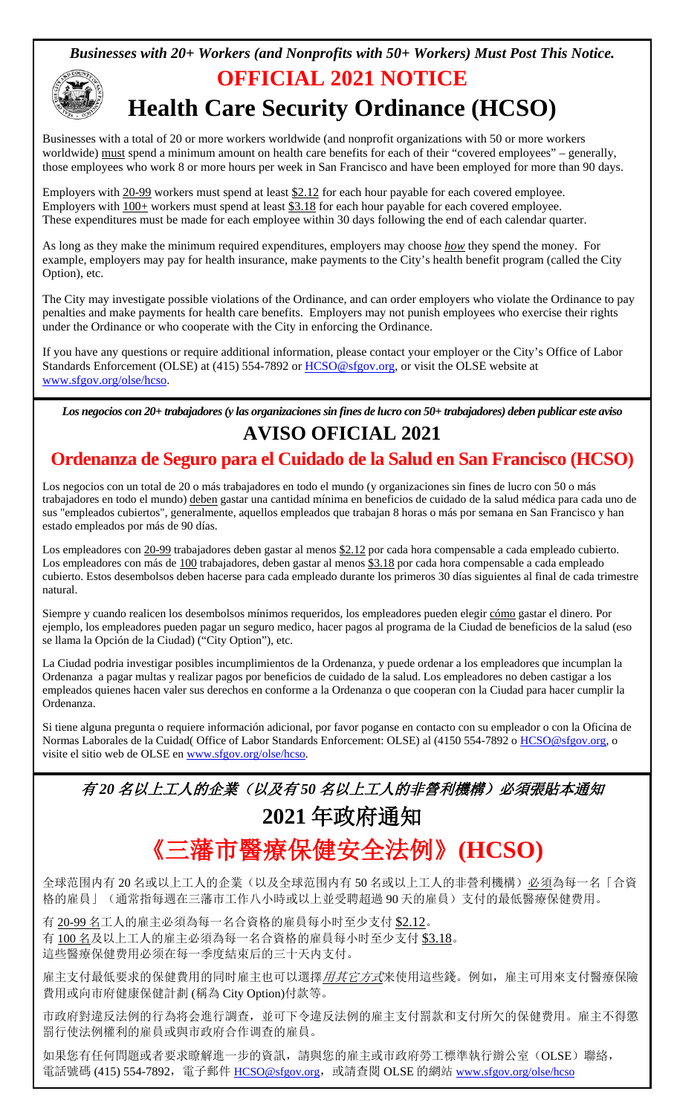#### *Businesses with 20+ Workers (and Nonprofits with 50+ Workers) Must Post This Notice.*



#### **OFFICIAL 2021 NOTICE**

## **Health Care Security Ordinance (HCSO)**

Businesses with a total of 20 or more workers worldwide (and nonprofit organizations with 50 or more workers worldwide) must spend a minimum amount on health care benefits for each of their "covered employees" – generally, those employees who work 8 or more hours per week in San Francisco and have been employed for more than 90 days.

Employers with  $\frac{20}{92}$  workers must spend at least  $\frac{22.12}{92.12}$  for each hour payable for each covered employee. Employers with 20-99 workers must spend at least \$2.12 for each hour payable for each covered employee. These expenditures must be made for each employee within 30 days following the end of each calendar quarter.

As long as they make the minimum required expenditures, employers may choose *how* they spend the money. For example, employers may pay for health insurance, make payments to the City's health benefit program (called the City Option), etc.

The City may investigate possible violations of the Ordinance, and can order employers who violate the Ordinance to pay penalties and make payments for health care benefits. Employers may not punish employees who exercise their rights under the Ordinance or who cooperate with the City in enforcing the Ordinance.

If you have any questions or require additional information, please contact your employer or the City's Office of Labor Standards Enforcement (OLSE) at (415) 554-7892 or [HCSO@sfgov.org,](mailto:HCSO@sfgov.org) or visit the OLSE website at [www.sfgov.org/olse/hcso.](http://www.sfgov.org/olse/hcso)

*Los negocios con 20+ trabajadores(y las organizaciones sin fines de lucro con 50+ trabajadores) deben publicar este aviso* **AVISO OFICIAL 2021**

## **Ordenanza de Seguro para el Cuidado de la Salud en San Francisco (HCSO)**

Los negocios con un total de 20 o más trabajadores en todo el mundo (y organizaciones sin fines de lucro con 50 o más trabajadores en todo el mundo) deben gastar una cantidad mínima en beneficios de cuidado de la salud médica para cada uno de sus "empleados cubiertos", generalmente, aquellos empleados que trabajan 8 horas o más por semana en San Francisco y han estado empleados por más de 90 días.

Los empleadores con 20-99 trabajadores deben gastar al menos \$2.12 por cada hora compensable a cada empleado cubierto. Los empleadores con más de 100 trabajadores, deben gastar al menos \$3.18 por cada hora compensable a cada empleado cubierto. Estos desembolsos deben hacerse para cada empleado durante los primeros 30 días siguientes al final de cada trimestre natural.

Siempre y cuando realicen los desembolsos mínimos requeridos, los empleadores pueden elegir cómo gastar el dinero. Por ejemplo, los empleadores pueden pagar un seguro medico, hacer pagos al programa de la Ciudad de beneficios de la salud (eso se llama la Opción de la Ciudad) ("City Option"), etc.

La Ciudad podria investigar posibles incumplimientos de la Ordenanza, y puede ordenar a los empleadores que incumplan la Ordenanza a pagar multas y realizar pagos por beneficios de cuidado de la salud. Los empleadores no deben castigar a los empleados quienes hacen valer sus derechos en conforme a la Ordenanza o que cooperan con la Ciudad para hacer cumplir la Ordenanza.

visite el sitio web de OLSE en [www.sfgov.org/olse/hcso.](http://www.sfgov.org/olse/hcso) Si tiene alguna pregunta o requiere información adicional, por favor poganse en contacto con su empleador o con la Oficina de Normas Laborales de la Cuidad( Office of Labor Standards Enforcement: OLSE) al (4150 554-7892 o [HCSO@sfgov.org,](mailto:HCSO@sfgov.org) o

# 有 *20* 名以上工人的企業(以及有 *50* 名以上工人的非營利機構)必須張貼本通知 **2021** 年政府通知 《三藩市醫療保健安全法例》**(HCSO)**

全球范围内有 20 名或以上工人的企業(以及全球范围内有 50 名或以上工人的非營利機構)必須為每一名「合資 格的雇員」(通常指每週在三藩市工作八小時或以上並受聘超過 90 天的雇員)支付的最低醫療保健费用。

有 20-99 名工人的雇主必須為每一名合資格的雇員每小时至少支付 \$2.12。 有 100 名及以上工人的雇主必須為每一名合資格的雇員每小时至少支付 \$3.18。 這些醫療保健费用必须在每一季度結束后的三十天内支付。

雇主支付最低要求的保健費用的同时雇主也可以選擇*用其它方式*来使用這些錢。例如,雇主可用來支付醫療保險 費用或向市府健康保健計劃 (稱為 City Option)付款等。

市政府對違反法例的行為将会進行調查,並可下令違反法例的雇主支付罰款和支付所欠的保健费用。雇主不得懲 罰行使法例權利的雇員或與市政府合作调查的雇員。

如果您有任何問題或者要求瞭解進一步的資訊,請與您的雇主或市政府勞工標準執行辦公室(OLSE)聯絡, 電話號碼 (415) 554-7892, 電子郵件 [HCSO@sfgov.org](mailto:HCSO@sfgov.org), 或請查閱 OLSE 的網站 [www.sfgov.org/olse/hcso](http://www.sfgov.org/olse/hcso)